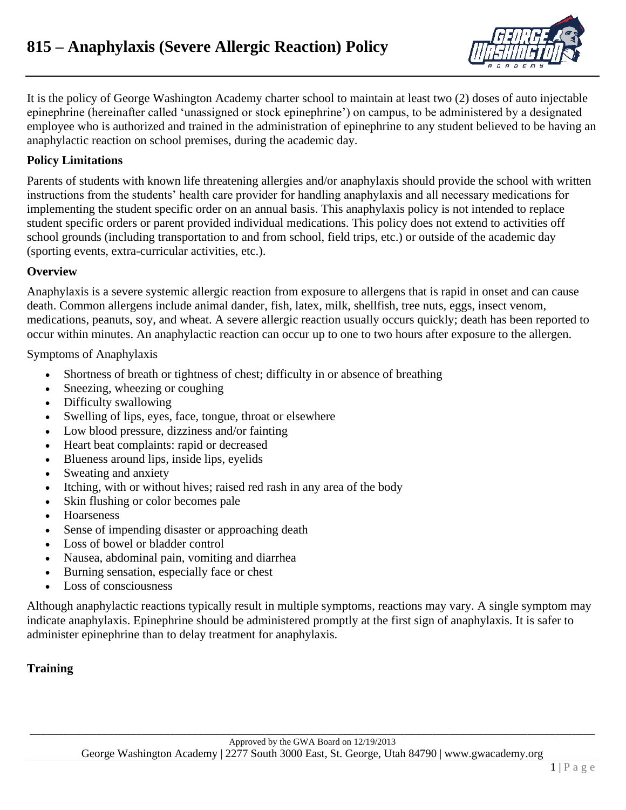

It is the policy of George Washington Academy charter school to maintain at least two (2) doses of auto injectable epinephrine (hereinafter called 'unassigned or stock epinephrine') on campus, to be administered by a designated employee who is authorized and trained in the administration of epinephrine to any student believed to be having an anaphylactic reaction on school premises, during the academic day.

### **Policy Limitations**

Parents of students with known life threatening allergies and/or anaphylaxis should provide the school with written instructions from the students' health care provider for handling anaphylaxis and all necessary medications for implementing the student specific order on an annual basis. This anaphylaxis policy is not intended to replace student specific orders or parent provided individual medications. This policy does not extend to activities off school grounds (including transportation to and from school, field trips, etc.) or outside of the academic day (sporting events, extra-curricular activities, etc.).

#### **Overview**

Anaphylaxis is a severe systemic allergic reaction from exposure to allergens that is rapid in onset and can cause death. Common allergens include animal dander, fish, latex, milk, shellfish, tree nuts, eggs, insect venom, medications, peanuts, soy, and wheat. A severe allergic reaction usually occurs quickly; death has been reported to occur within minutes. An anaphylactic reaction can occur up to one to two hours after exposure to the allergen.

Symptoms of Anaphylaxis

- Shortness of breath or tightness of chest; difficulty in or absence of breathing
- Sneezing, wheezing or coughing
- Difficulty swallowing
- Swelling of lips, eyes, face, tongue, throat or elsewhere
- Low blood pressure, dizziness and/or fainting
- Heart beat complaints: rapid or decreased
- Blueness around lips, inside lips, eyelids
- Sweating and anxiety
- Itching, with or without hives; raised red rash in any area of the body
- Skin flushing or color becomes pale
- Hoarseness
- Sense of impending disaster or approaching death
- Loss of bowel or bladder control
- Nausea, abdominal pain, vomiting and diarrhea
- Burning sensation, especially face or chest
- Loss of consciousness

Although anaphylactic reactions typically result in multiple symptoms, reactions may vary. A single symptom may indicate anaphylaxis. Epinephrine should be administered promptly at the first sign of anaphylaxis. It is safer to administer epinephrine than to delay treatment for anaphylaxis.

# **Training**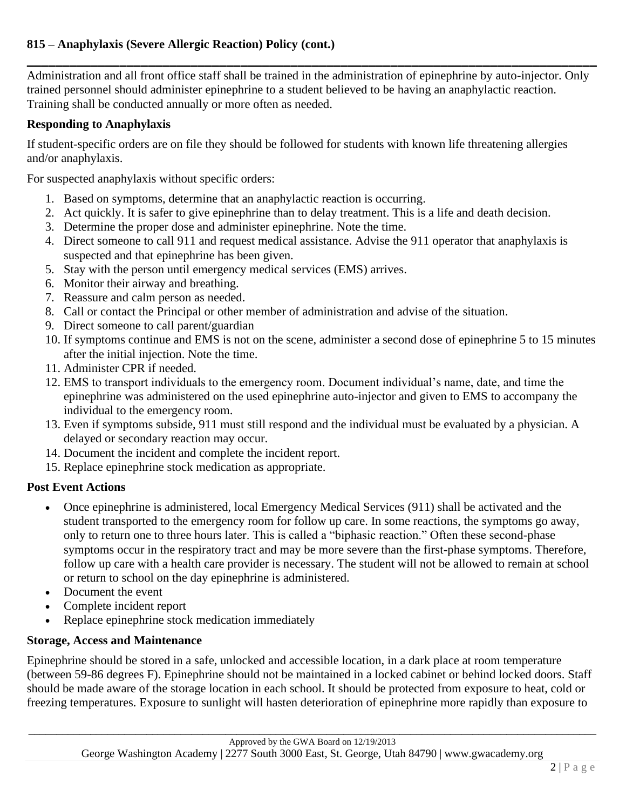**\_\_\_\_\_\_\_\_\_\_\_\_\_\_\_\_\_\_\_\_\_\_\_\_\_\_\_\_\_\_\_\_\_\_\_\_\_\_\_\_\_\_\_\_\_\_\_\_\_\_\_\_\_\_\_\_\_\_\_\_\_\_\_\_\_\_\_\_\_\_\_\_\_\_\_\_\_\_\_\_** Administration and all front office staff shall be trained in the administration of epinephrine by auto-injector. Only trained personnel should administer epinephrine to a student believed to be having an anaphylactic reaction. Training shall be conducted annually or more often as needed.

### **Responding to Anaphylaxis**

If student-specific orders are on file they should be followed for students with known life threatening allergies and/or anaphylaxis.

For suspected anaphylaxis without specific orders:

- 1. Based on symptoms, determine that an anaphylactic reaction is occurring.
- 2. Act quickly. It is safer to give epinephrine than to delay treatment. This is a life and death decision.
- 3. Determine the proper dose and administer epinephrine. Note the time.
- 4. Direct someone to call 911 and request medical assistance. Advise the 911 operator that anaphylaxis is suspected and that epinephrine has been given.
- 5. Stay with the person until emergency medical services (EMS) arrives.
- 6. Monitor their airway and breathing.
- 7. Reassure and calm person as needed.
- 8. Call or contact the Principal or other member of administration and advise of the situation.
- 9. Direct someone to call parent/guardian
- 10. If symptoms continue and EMS is not on the scene, administer a second dose of epinephrine 5 to 15 minutes after the initial injection. Note the time.
- 11. Administer CPR if needed.
- 12. EMS to transport individuals to the emergency room. Document individual's name, date, and time the epinephrine was administered on the used epinephrine auto-injector and given to EMS to accompany the individual to the emergency room.
- 13. Even if symptoms subside, 911 must still respond and the individual must be evaluated by a physician. A delayed or secondary reaction may occur.
- 14. Document the incident and complete the incident report.
- 15. Replace epinephrine stock medication as appropriate.

# **Post Event Actions**

- Once epinephrine is administered, local Emergency Medical Services (911) shall be activated and the student transported to the emergency room for follow up care. In some reactions, the symptoms go away, only to return one to three hours later. This is called a "biphasic reaction." Often these second-phase symptoms occur in the respiratory tract and may be more severe than the first-phase symptoms. Therefore, follow up care with a health care provider is necessary. The student will not be allowed to remain at school or return to school on the day epinephrine is administered.
- Document the event
- Complete incident report
- Replace epinephrine stock medication immediately

# **Storage, Access and Maintenance**

Epinephrine should be stored in a safe, unlocked and accessible location, in a dark place at room temperature (between 59-86 degrees F). Epinephrine should not be maintained in a locked cabinet or behind locked doors. Staff should be made aware of the storage location in each school. It should be protected from exposure to heat, cold or freezing temperatures. Exposure to sunlight will hasten deterioration of epinephrine more rapidly than exposure to